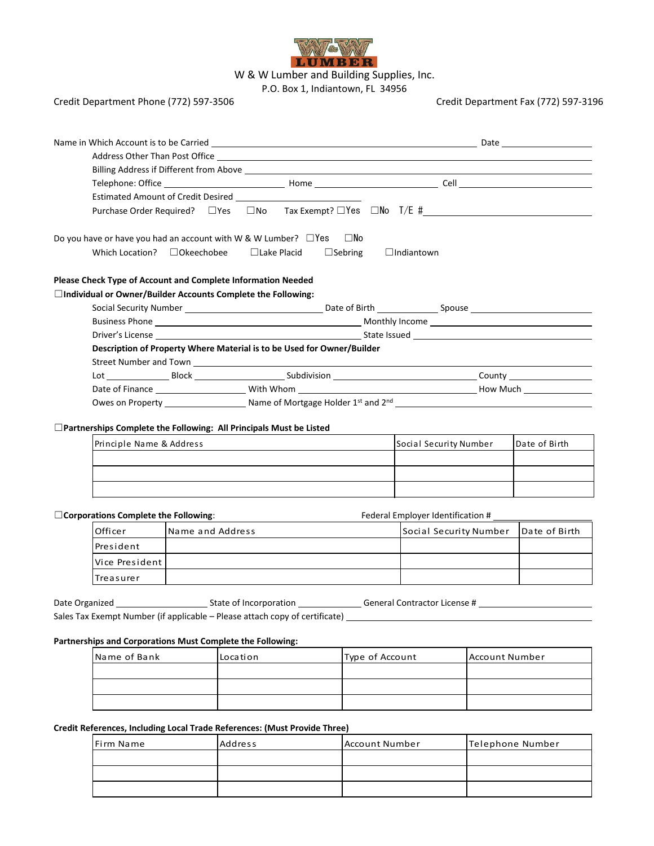

W & W Lumber and Building Supplies, Inc.

P.O. Box 1, Indiantown, FL 34956

## Credit Department Phone (772) 597-3506 Credit Department Fax (772) 597-3196

|                                             |                                                                                          |  | Do you have or have you had an account with W & W Lumber? $\Box$ Yes          | $\square$ No    |  |                                         |  |               |
|---------------------------------------------|------------------------------------------------------------------------------------------|--|-------------------------------------------------------------------------------|-----------------|--|-----------------------------------------|--|---------------|
|                                             | Which Location? □Okeechobee<br>$\Box$ Sebring<br>$\Box$ Lake Placid<br>$\Box$ Indiantown |  |                                                                               |                 |  |                                         |  |               |
|                                             |                                                                                          |  | Please Check Type of Account and Complete Information Needed                  |                 |  |                                         |  |               |
|                                             |                                                                                          |  | □Individual or Owner/Builder Accounts Complete the Following:                 |                 |  |                                         |  |               |
|                                             |                                                                                          |  |                                                                               |                 |  |                                         |  |               |
|                                             |                                                                                          |  |                                                                               |                 |  |                                         |  |               |
|                                             |                                                                                          |  |                                                                               |                 |  |                                         |  |               |
|                                             |                                                                                          |  | Description of Property Where Material is to be Used for Owner/Builder        |                 |  |                                         |  |               |
|                                             |                                                                                          |  |                                                                               |                 |  |                                         |  |               |
|                                             |                                                                                          |  |                                                                               |                 |  |                                         |  |               |
|                                             |                                                                                          |  |                                                                               |                 |  |                                         |  |               |
|                                             |                                                                                          |  |                                                                               |                 |  |                                         |  |               |
|                                             |                                                                                          |  |                                                                               |                 |  |                                         |  |               |
|                                             |                                                                                          |  | □ Partnerships Complete the Following: All Principals Must be Listed          |                 |  |                                         |  |               |
|                                             | Principle Name & Address                                                                 |  |                                                                               |                 |  | Social Security Number<br>Date of Birth |  |               |
|                                             |                                                                                          |  |                                                                               |                 |  |                                         |  |               |
|                                             |                                                                                          |  |                                                                               |                 |  |                                         |  |               |
|                                             |                                                                                          |  |                                                                               |                 |  |                                         |  |               |
|                                             |                                                                                          |  |                                                                               |                 |  |                                         |  |               |
| $\Box$ Corporations Complete the Following: |                                                                                          |  |                                                                               |                 |  | Federal Employer Identification #       |  |               |
|                                             | Officer<br>Name and Address                                                              |  |                                                                               |                 |  | Social Security Number                  |  | Date of Birth |
| President                                   |                                                                                          |  |                                                                               |                 |  |                                         |  |               |
|                                             | Vice President                                                                           |  |                                                                               |                 |  |                                         |  |               |
| Treasurer                                   |                                                                                          |  |                                                                               |                 |  |                                         |  |               |
|                                             |                                                                                          |  |                                                                               |                 |  |                                         |  |               |
| Date Organized                              |                                                                                          |  | State of Incorporation                                                        |                 |  | General Contractor License #            |  |               |
|                                             |                                                                                          |  | Sales Tax Exempt Number (if applicable - Please attach copy of certificate) _ |                 |  |                                         |  |               |
|                                             |                                                                                          |  | Partnerships and Corporations Must Complete the Following:                    |                 |  |                                         |  |               |
|                                             | Name of Bank                                                                             |  | Location                                                                      | Type of Account |  | Account Number                          |  |               |
|                                             |                                                                                          |  |                                                                               |                 |  |                                         |  |               |
|                                             |                                                                                          |  |                                                                               |                 |  |                                         |  |               |
|                                             |                                                                                          |  |                                                                               |                 |  |                                         |  |               |
|                                             |                                                                                          |  |                                                                               |                 |  |                                         |  |               |

## **Credit References, Including Local Trade References: (Must Provide Three)**

| Firm Name | Address | Account Number | Telephone Number |
|-----------|---------|----------------|------------------|
|           |         |                |                  |
|           |         |                |                  |
|           |         |                |                  |